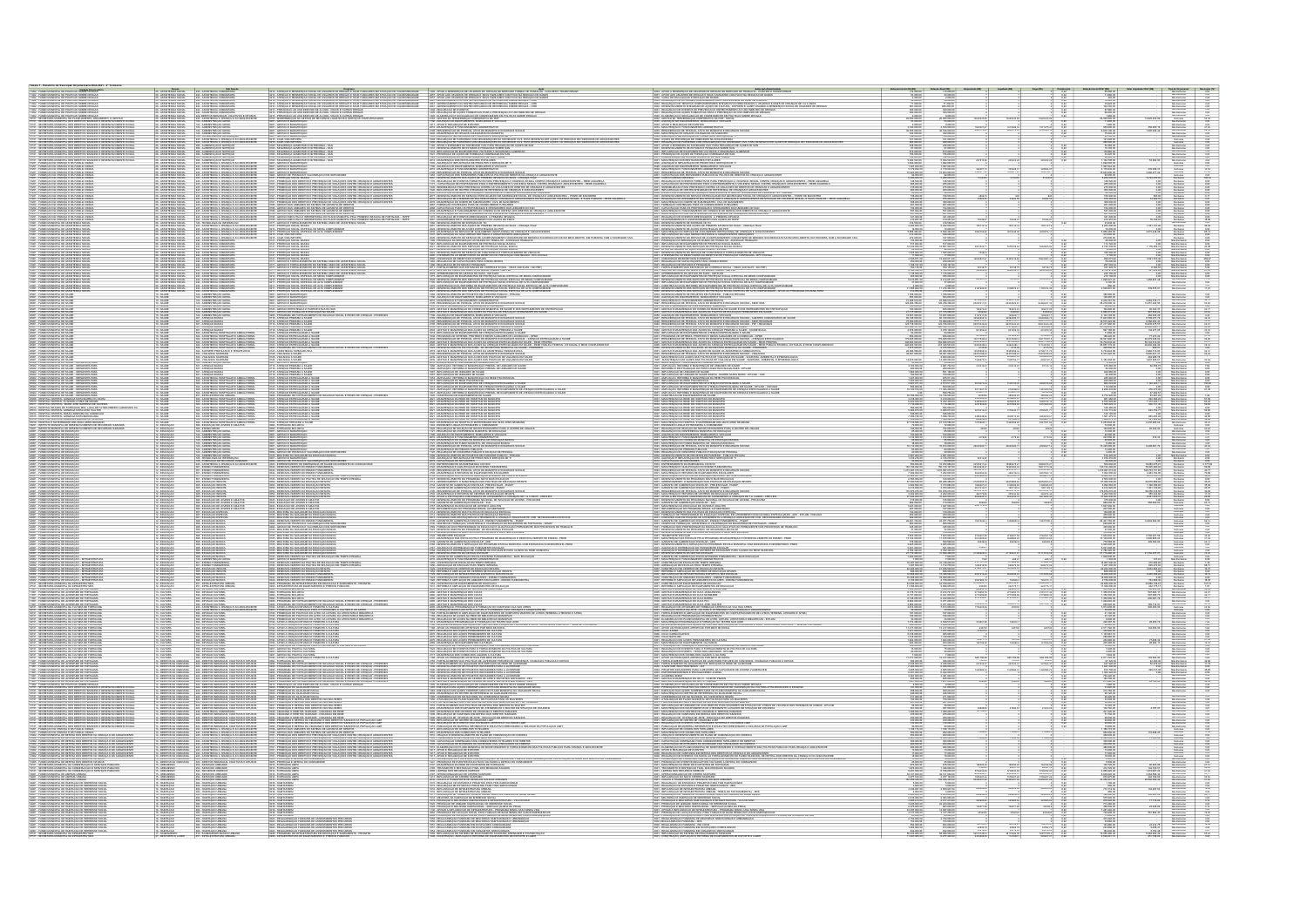|                                                                                                                                                                                                                                                                                           |                                                                                                                                                 | 13.000.00                                                                                                                                                                                                                                                                                                                                                                                                                                                                                                                                                                                                                                                                                                                                                                                                                                                                                                                                                                                                   |                                                                                                                                                                                                                                                                                                                                                                                                                                                                                                                                |
|-------------------------------------------------------------------------------------------------------------------------------------------------------------------------------------------------------------------------------------------------------------------------------------------|-------------------------------------------------------------------------------------------------------------------------------------------------|-------------------------------------------------------------------------------------------------------------------------------------------------------------------------------------------------------------------------------------------------------------------------------------------------------------------------------------------------------------------------------------------------------------------------------------------------------------------------------------------------------------------------------------------------------------------------------------------------------------------------------------------------------------------------------------------------------------------------------------------------------------------------------------------------------------------------------------------------------------------------------------------------------------------------------------------------------------------------------------------------------------|--------------------------------------------------------------------------------------------------------------------------------------------------------------------------------------------------------------------------------------------------------------------------------------------------------------------------------------------------------------------------------------------------------------------------------------------------------------------------------------------------------------------------------|
| 28 8 DPL008<br>ACCLERCENTE                                                                                                                                                                                                                                                                |                                                                                                                                                 |                                                                                                                                                                                                                                                                                                                                                                                                                                                                                                                                                                                                                                                                                                                                                                                                                                                                                                                                                                                                             |                                                                                                                                                                                                                                                                                                                                                                                                                                                                                                                                |
|                                                                                                                                                                                                                                                                                           |                                                                                                                                                 | ---<br>$-200000000$<br>$-$ 000000                                                                                                                                                                                                                                                                                                                                                                                                                                                                                                                                                                                                                                                                                                                                                                                                                                                                                                                                                                           | 11420,220,89                                                                                                                                                                                                                                                                                                                                                                                                                                                                                                                   |
|                                                                                                                                                                                                                                                                                           |                                                                                                                                                 | $rac{1}{44433742}$<br>$ \frac{1}{44475445}$<br>$\frac{1}{\frac{1}{2}}$<br>$\begin{array}{r} 4.135,0351 \\ 35.535,0351 \\ 352,0351 \end{array}$                                                                                                                                                                                                                                                                                                                                                                                                                                                                                                                                                                                                                                                                                                                                                                                                                                                              | $-$ 38283.5                                                                                                                                                                                                                                                                                                                                                                                                                                                                                                                    |
|                                                                                                                                                                                                                                                                                           |                                                                                                                                                 |                                                                                                                                                                                                                                                                                                                                                                                                                                                                                                                                                                                                                                                                                                                                                                                                                                                                                                                                                                                                             |                                                                                                                                                                                                                                                                                                                                                                                                                                                                                                                                |
|                                                                                                                                                                                                                                                                                           |                                                                                                                                                 | $ \frac{6}{24}$ $-\frac{632}{22}$<br>$-289338$<br>$-200223$                                                                                                                                                                                                                                                                                                                                                                                                                                                                                                                                                                                                                                                                                                                                                                                                                                                                                                                                                 | $m =$                                                                                                                                                                                                                                                                                                                                                                                                                                                                                                                          |
|                                                                                                                                                                                                                                                                                           |                                                                                                                                                 | $rac{34631773}{33437722}$<br>$\frac{33429837}{334637722}$<br>SOMBALLY                                                                                                                                                                                                                                                                                                                                                                                                                                                                                                                                                                                                                                                                                                                                                                                                                                                                                                                                       | $\frac{333,298,27}{3,266,277,22}$                                                                                                                                                                                                                                                                                                                                                                                                                                                                                              |
|                                                                                                                                                                                                                                                                                           |                                                                                                                                                 |                                                                                                                                                                                                                                                                                                                                                                                                                                                                                                                                                                                                                                                                                                                                                                                                                                                                                                                                                                                                             | 37203202                                                                                                                                                                                                                                                                                                                                                                                                                                                                                                                       |
|                                                                                                                                                                                                                                                                                           |                                                                                                                                                 |                                                                                                                                                                                                                                                                                                                                                                                                                                                                                                                                                                                                                                                                                                                                                                                                                                                                                                                                                                                                             |                                                                                                                                                                                                                                                                                                                                                                                                                                                                                                                                |
|                                                                                                                                                                                                                                                                                           |                                                                                                                                                 | 200070                                                                                                                                                                                                                                                                                                                                                                                                                                                                                                                                                                                                                                                                                                                                                                                                                                                                                                                                                                                                      |                                                                                                                                                                                                                                                                                                                                                                                                                                                                                                                                |
|                                                                                                                                                                                                                                                                                           |                                                                                                                                                 |                                                                                                                                                                                                                                                                                                                                                                                                                                                                                                                                                                                                                                                                                                                                                                                                                                                                                                                                                                                                             |                                                                                                                                                                                                                                                                                                                                                                                                                                                                                                                                |
|                                                                                                                                                                                                                                                                                           |                                                                                                                                                 | $\frac{1}{622}$                                                                                                                                                                                                                                                                                                                                                                                                                                                                                                                                                                                                                                                                                                                                                                                                                                                                                                                                                                                             |                                                                                                                                                                                                                                                                                                                                                                                                                                                                                                                                |
|                                                                                                                                                                                                                                                                                           |                                                                                                                                                 | 35007411                                                                                                                                                                                                                                                                                                                                                                                                                                                                                                                                                                                                                                                                                                                                                                                                                                                                                                                                                                                                    | 385.127.007<br>3.003.1783                                                                                                                                                                                                                                                                                                                                                                                                                                                                                                      |
|                                                                                                                                                                                                                                                                                           |                                                                                                                                                 |                                                                                                                                                                                                                                                                                                                                                                                                                                                                                                                                                                                                                                                                                                                                                                                                                                                                                                                                                                                                             |                                                                                                                                                                                                                                                                                                                                                                                                                                                                                                                                |
|                                                                                                                                                                                                                                                                                           |                                                                                                                                                 |                                                                                                                                                                                                                                                                                                                                                                                                                                                                                                                                                                                                                                                                                                                                                                                                                                                                                                                                                                                                             |                                                                                                                                                                                                                                                                                                                                                                                                                                                                                                                                |
|                                                                                                                                                                                                                                                                                           |                                                                                                                                                 | <b>HARSTER</b><br>$\frac{8}{1000000}$<br>$\begin{tabular}{c c} \hline \multicolumn{1}{c}{\textbf{19.60.87}} \\ \hline 19.60.87 \\ \hline 130.50 \\ \hline 130.10 \\ \hline 130.10 \\ \hline 130.10 \\ \hline 130.10 \\ \hline 130.00 \\ \hline 131.00 \\ \hline 131.00 \\ \hline 131.00 \\ \hline \end{tabular}$<br>$-161268$                                                                                                                                                                                                                                                                                                                                                                                                                                                                                                                                                                                                                                                                               | $\begin{tabular}{c c} \hline 488 \\ \hline 348 \\ \hline 488 \\ \hline 1381 \\ \hline 1381 \\ \hline 147318 \\ \hline 489 \\ \hline 489 \\ \hline 489 \\ \hline \end{tabular}$                                                                                                                                                                                                                                                                                                                                                 |
|                                                                                                                                                                                                                                                                                           |                                                                                                                                                 | $rac{3853837}{264556437}$<br>$\frac{315876}{24366644}$<br>$rac{38538.75}{335246.8}$                                                                                                                                                                                                                                                                                                                                                                                                                                                                                                                                                                                                                                                                                                                                                                                                                                                                                                                         |                                                                                                                                                                                                                                                                                                                                                                                                                                                                                                                                |
|                                                                                                                                                                                                                                                                                           |                                                                                                                                                 | $\begin{array}{r} 5 \\ 8 \\ 12334324 \\ 6 \\ 8 \\ 9 \\ 1933434 \end{array}$<br>2161600                                                                                                                                                                                                                                                                                                                                                                                                                                                                                                                                                                                                                                                                                                                                                                                                                                                                                                                      | $\frac{486}{146882748}$<br>mmin                                                                                                                                                                                                                                                                                                                                                                                                                                                                                                |
|                                                                                                                                                                                                                                                                                           | 1413 887 0<br>1410 82 0<br>1510 82 0<br>1510 82 0<br>1510 82 0<br>1710 83 0<br>1710 83 0<br>1810 83<br>1810 83<br>1810 83<br>1810 83<br>1810 83 |                                                                                                                                                                                                                                                                                                                                                                                                                                                                                                                                                                                                                                                                                                                                                                                                                                                                                                                                                                                                             | 388, 840, 00<br>128, 240, 00                                                                                                                                                                                                                                                                                                                                                                                                                                                                                                   |
|                                                                                                                                                                                                                                                                                           |                                                                                                                                                 | <b>ELECTION</b><br><b>SONTAGE</b><br>$-$ 03/03/17.44                                                                                                                                                                                                                                                                                                                                                                                                                                                                                                                                                                                                                                                                                                                                                                                                                                                                                                                                                        | $\frac{436433871}{5430122236}$                                                                                                                                                                                                                                                                                                                                                                                                                                                                                                 |
|                                                                                                                                                                                                                                                                                           | 763 000 00<br>21.115.000 00<br>16.116.000 00<br>16.116.000 00<br>17.000 000 00<br>207.000 317.000<br>207.000 317.000<br>207.000 317.000         | $\begin{array}{r} 27.030, 20 \\ 11.231, 48.02, 0 \\ 13.231, 48.02, 0 \\ 15.231, 48.02, 0 \\ 17.231, 48.02, 0 \\ 18.231, 0 \\ 19.231, 0 \\ 10.231, 0 \\ 10.231, 0 \\ 10.231, 0 \\ 10.231, 0 \\ 10.231, 0 \\ 10.231, 0 \\ 10.231, 0 \\ 10.231, 0 \\ 10.231, 0 \\ 10.231,$<br><b>GOTLE</b><br>$rac{1}{100000}$                                                                                                                                                                                                                                                                                                                                                                                                                                                                                                                                                                                                                                                                                                 | $\begin{array}{ l } \hline \hline \multicolumn{3}{r}{\textbf{0.335.9}}\\ \hline \multicolumn{3}{r}{\textbf{0.335.9}}\\ \hline \multicolumn{3}{r}{\textbf{0.335.9}}\\ \hline \multicolumn{3}{r}{\textbf{0.335.9}}\\ \hline \multicolumn{3}{r}{\textbf{0.335.9}}\\ \hline \multicolumn{3}{r}{\textbf{0.335.9}}\\ \hline \multicolumn{3}{r}{\textbf{0.335.9}}\\ \hline \multicolumn{3}{r}{\textbf{0.335.9}}\\ \hline \multicolumn{$                                                                                               |
|                                                                                                                                                                                                                                                                                           |                                                                                                                                                 | $\begin{array}{r l} \hline \text{MSEI} \\ \hline 284244 \\ \hline 36471117 \\ \hline 36711117 \\ \hline 46701117 \\ \hline 46701017 \\ \hline 41701017 \\ \hline 41701017 \\ \hline \end{array}$                                                                                                                                                                                                                                                                                                                                                                                                                                                                                                                                                                                                                                                                                                                                                                                                            |                                                                                                                                                                                                                                                                                                                                                                                                                                                                                                                                |
|                                                                                                                                                                                                                                                                                           | 18,000.00<br>08,000.00<br>179,668,000.00<br>188,618,618,000.00<br>478,618,618,000.00                                                            |                                                                                                                                                                                                                                                                                                                                                                                                                                                                                                                                                                                                                                                                                                                                                                                                                                                                                                                                                                                                             |                                                                                                                                                                                                                                                                                                                                                                                                                                                                                                                                |
|                                                                                                                                                                                                                                                                                           | 03.000.001<br>201206-002.00<br>201206-002.00                                                                                                    | 228408341.1<br>128205443.2<br>12830645.22<br>226405.02<br>226405.02<br>226405.02                                                                                                                                                                                                                                                                                                                                                                                                                                                                                                                                                                                                                                                                                                                                                                                                                                                                                                                            | $\begin{tabular}{r c c} \hline $72832$ \\ \hline 24532831$ \\ \hline 354237331$ \\ \hline 3654237331$ \\ \hline 36637331$ \\ \hline 3663731$ \\ \hline 34523131$ \\ \hline 34523131$ \\ \hline 34523131$ \\ \hline 34523131$ \\ \hline 34523131$ \\ \hline \end{tabular}$                                                                                                                                                                                                                                                      |
|                                                                                                                                                                                                                                                                                           |                                                                                                                                                 |                                                                                                                                                                                                                                                                                                                                                                                                                                                                                                                                                                                                                                                                                                                                                                                                                                                                                                                                                                                                             |                                                                                                                                                                                                                                                                                                                                                                                                                                                                                                                                |
|                                                                                                                                                                                                                                                                                           | 14.470.000.00<br>01.000.000<br>4.160.000.00<br>200.000.000<br>1.000.000.000<br>1.007.000.00                                                     | 47133.14<br>3103163<br>3 563 16.01                                                                                                                                                                                                                                                                                                                                                                                                                                                                                                                                                                                                                                                                                                                                                                                                                                                                                                                                                                          | 1 101 405 M<br>1 103 00<br>01 103 00<br>44 003 00<br>428 843 00                                                                                                                                                                                                                                                                                                                                                                                                                                                                |
|                                                                                                                                                                                                                                                                                           |                                                                                                                                                 | service.<br>2012074.00                                                                                                                                                                                                                                                                                                                                                                                                                                                                                                                                                                                                                                                                                                                                                                                                                                                                                                                                                                                      |                                                                                                                                                                                                                                                                                                                                                                                                                                                                                                                                |
|                                                                                                                                                                                                                                                                                           | $\begin{array}{r}\n 1.023,033,0 \\  3.827, 677,0 \\  833,033,0 \\  13,133,0\n \end{array}$                                                      | 1,000,000,000<br>1,000,000,00<br>11,366,406,00<br>100,000,00<br>12,106,000,00<br>1,106,000,00<br>1,106,000,00<br>1,106,000,00<br>101130776<br>$\begin{array}{r l} \hline \text{ADIM} & 0 \\ \hline \text{ADIM} & 0 \\ \hline \text{BIGO} & 0 \\ \hline \text{BIGO} & 0 \\ \hline \text{BIGO} & 0 \\ \hline \text{DBO} & 0 \\ \hline \text{DBO} & 0 \\ \hline \text{ABO} & 0 \\ \hline \text{ABO} & 0 \\ \hline \text{ABO} & 0 \\ \hline \text{ABO} & 0 \\ \hline \text{ABO} & 0 \\ \hline \text{ABO} & 0 \\ \hline \text{ABO} & 0 \\ \hline \text{ABO} & 0 \\ \hline \text{ABO} & 0 \\$                                                                                                                                                                                                                                                                                                                                                                                                                     |                                                                                                                                                                                                                                                                                                                                                                                                                                                                                                                                |
|                                                                                                                                                                                                                                                                                           | $\begin{array}{r} 3 \\ \hline 191000 \\ -191000 \\ \hline 142100 \\ -1421000 \\ \hline 713100 \\ \hline \end{array}$                            | $\begin{array}{r} 0 \\ 216308.2 \\ 21436714 \\ 21604123 \\ 30860123 \\ 223666123 \\ 43866163 \\ 431966123 \end{array}$<br>$\frac{2345346.54}{4345346.84}$                                                                                                                                                                                                                                                                                                                                                                                                                                                                                                                                                                                                                                                                                                                                                                                                                                                   |                                                                                                                                                                                                                                                                                                                                                                                                                                                                                                                                |
| CHEWER, GOUNGEL MOTIVARIEN CO CRAN<br>CHEWER, MANAGER ATMICIATION CONTINUES.<br>CHEWER, MANAGER AND CONTINUES.<br>CHEWER, GOUNGEL MANAGER CONTINUES.<br>CHEWER, GOUNGELAND CONTINUES.<br>CHEWER, GOUNGELAND CONTINUES.<br>CHEWER, CONTINUES.<br>AIKA<br>Átala <u>himi po olimanšen bá</u> |                                                                                                                                                 |                                                                                                                                                                                                                                                                                                                                                                                                                                                                                                                                                                                                                                                                                                                                                                                                                                                                                                                                                                                                             |                                                                                                                                                                                                                                                                                                                                                                                                                                                                                                                                |
| <b>LARGE NULSIANAR</b><br>MAINYIS DE PRICURBISE HUMANICO<br>MAINYIS DE PRICURBISE HUMANICO                                                                                                                                                                                                | 186, 000, 0<br>1.966, 872, 0<br>7.066, 726, 0<br>7.306, 026, 0<br>7.306, 036, 0<br>7.000, 0<br>166, 000, 0                                      | 186, 000<br>1.866, 870<br>7.066, 7.06<br>7.7306, 426<br>77.130, 886<br>7.7306, 896<br>78.000<br>196, 000<br><b>SERGER 60</b><br>EMBREN 6                                                                                                                                                                                                                                                                                                                                                                                                                                                                                                                                                                                                                                                                                                                                                                                                                                                                    |                                                                                                                                                                                                                                                                                                                                                                                                                                                                                                                                |
|                                                                                                                                                                                                                                                                                           |                                                                                                                                                 |                                                                                                                                                                                                                                                                                                                                                                                                                                                                                                                                                                                                                                                                                                                                                                                                                                                                                                                                                                                                             |                                                                                                                                                                                                                                                                                                                                                                                                                                                                                                                                |
|                                                                                                                                                                                                                                                                                           |                                                                                                                                                 | 00.000.000<br>2012030<br>24,6242                                                                                                                                                                                                                                                                                                                                                                                                                                                                                                                                                                                                                                                                                                                                                                                                                                                                                                                                                                            | <b>GREETIN</b>                                                                                                                                                                                                                                                                                                                                                                                                                                                                                                                 |
|                                                                                                                                                                                                                                                                                           |                                                                                                                                                 | $\frac{2458273}{9}$                                                                                                                                                                                                                                                                                                                                                                                                                                                                                                                                                                                                                                                                                                                                                                                                                                                                                                                                                                                         |                                                                                                                                                                                                                                                                                                                                                                                                                                                                                                                                |
|                                                                                                                                                                                                                                                                                           |                                                                                                                                                 |                                                                                                                                                                                                                                                                                                                                                                                                                                                                                                                                                                                                                                                                                                                                                                                                                                                                                                                                                                                                             |                                                                                                                                                                                                                                                                                                                                                                                                                                                                                                                                |
|                                                                                                                                                                                                                                                                                           |                                                                                                                                                 | $\begin{array}{r} \text{MMDOM21} \\ \text{NMDOM21} \\ \text{DMDUM1} \\ \text{DMDUM2} \\ \text{DMDUM2} \end{array}$<br>$\begin{tabular}{c} \textbf{unimers} \\ \hline \textbf{NATUT2S} \\ \hline \textbf{DCTU} \\ \hline \textbf{DCTU} \\ \hline \textbf{CCTU} \\ \hline \textbf{DCTU} \\ \hline \textbf{DCTU} \\ \hline \end{tabular}$<br>$\begin{array}{r} 241484 \, 17.22 \\ 443.63161 \, 27 \\ 43102161 \, 7 \\ 5435042 \, 38 \\ 6435042 \, 38 \\ 643646 \, 38 \\ \end{array}$                                                                                                                                                                                                                                                                                                                                                                                                                                                                                                                           | $\begin{array}{l} \begin{array}{c} \text{11.00111} \\ \text{12.0111} \\ \text{23.0221} \\ \text{24.0331} \\ \text{25.0331} \\ \text{26.0331} \\ \text{27.03331} \end{array} \end{array}$                                                                                                                                                                                                                                                                                                                                       |
|                                                                                                                                                                                                                                                                                           |                                                                                                                                                 | 272000063                                                                                                                                                                                                                                                                                                                                                                                                                                                                                                                                                                                                                                                                                                                                                                                                                                                                                                                                                                                                   |                                                                                                                                                                                                                                                                                                                                                                                                                                                                                                                                |
|                                                                                                                                                                                                                                                                                           |                                                                                                                                                 |                                                                                                                                                                                                                                                                                                                                                                                                                                                                                                                                                                                                                                                                                                                                                                                                                                                                                                                                                                                                             |                                                                                                                                                                                                                                                                                                                                                                                                                                                                                                                                |
|                                                                                                                                                                                                                                                                                           |                                                                                                                                                 | 2<br>13163633<br>13163533<br>131635333<br>131635333<br>131635333                                                                                                                                                                                                                                                                                                                                                                                                                                                                                                                                                                                                                                                                                                                                                                                                                                                                                                                                            |                                                                                                                                                                                                                                                                                                                                                                                                                                                                                                                                |
|                                                                                                                                                                                                                                                                                           |                                                                                                                                                 |                                                                                                                                                                                                                                                                                                                                                                                                                                                                                                                                                                                                                                                                                                                                                                                                                                                                                                                                                                                                             |                                                                                                                                                                                                                                                                                                                                                                                                                                                                                                                                |
|                                                                                                                                                                                                                                                                                           |                                                                                                                                                 |                                                                                                                                                                                                                                                                                                                                                                                                                                                                                                                                                                                                                                                                                                                                                                                                                                                                                                                                                                                                             |                                                                                                                                                                                                                                                                                                                                                                                                                                                                                                                                |
|                                                                                                                                                                                                                                                                                           |                                                                                                                                                 | 120 000<br>020 030 1<br>020 030 1<br>020 030 1<br>020 030 1<br>020 030 1                                                                                                                                                                                                                                                                                                                                                                                                                                                                                                                                                                                                                                                                                                                                                                                                                                                                                                                                    | <b>NANKER</b>                                                                                                                                                                                                                                                                                                                                                                                                                                                                                                                  |
|                                                                                                                                                                                                                                                                                           |                                                                                                                                                 | $\frac{274852134}{483513342}$                                                                                                                                                                                                                                                                                                                                                                                                                                                                                                                                                                                                                                                                                                                                                                                                                                                                                                                                                                               |                                                                                                                                                                                                                                                                                                                                                                                                                                                                                                                                |
|                                                                                                                                                                                                                                                                                           | 215.000.00<br>7 ASS 000.00<br>3 TH 000.00<br>776.000.00                                                                                         |                                                                                                                                                                                                                                                                                                                                                                                                                                                                                                                                                                                                                                                                                                                                                                                                                                                                                                                                                                                                             | 270522138<br>4.806.096.22<br>496.342.00<br>$\frac{1}{2}$                                                                                                                                                                                                                                                                                                                                                                                                                                                                       |
|                                                                                                                                                                                                                                                                                           |                                                                                                                                                 | $\begin{array}{r rr} 13.0001 & 13.0001 & 14.0001 & 14.0001 & 14.0001 & 14.0001 & 14.0001 & 14.0001 & 14.0001 & 14.0001 & 14.0001 & 14.0001 & 14.0001 & 14.0001 & 14.0001 & 14.0001 & 14.0001 & 14.0001 & 14.0001 & 14.0001 & 14.0001 & 14.0001 & 14.0001 & 14.$<br>$\frac{1}{9H}$                                                                                                                                                                                                                                                                                                                                                                                                                                                                                                                                                                                                                                                                                                                           |                                                                                                                                                                                                                                                                                                                                                                                                                                                                                                                                |
|                                                                                                                                                                                                                                                                                           |                                                                                                                                                 | 463/216.4                                                                                                                                                                                                                                                                                                                                                                                                                                                                                                                                                                                                                                                                                                                                                                                                                                                                                                                                                                                                   | 1 841 00<br>1 842 001 00<br>1 307 003 00<br>22 304 003 00<br>604 003 00<br>11 804 003 00                                                                                                                                                                                                                                                                                                                                                                                                                                       |
|                                                                                                                                                                                                                                                                                           |                                                                                                                                                 | <b>SIATAK</b>                                                                                                                                                                                                                                                                                                                                                                                                                                                                                                                                                                                                                                                                                                                                                                                                                                                                                                                                                                                               |                                                                                                                                                                                                                                                                                                                                                                                                                                                                                                                                |
|                                                                                                                                                                                                                                                                                           |                                                                                                                                                 | $\frac{1}{2}$                                                                                                                                                                                                                                                                                                                                                                                                                                                                                                                                                                                                                                                                                                                                                                                                                                                                                                                                                                                               |                                                                                                                                                                                                                                                                                                                                                                                                                                                                                                                                |
|                                                                                                                                                                                                                                                                                           |                                                                                                                                                 | $\begin{array}{r} 7.00029 \\ 7.00029 \\ 1.00039 \\ 1.000000 \\ 1.0000000 \\ 1.00000000 \\ 1.00000000 \\ 1.00000000 \\ 1.00000000 \\ 1.00000000 \\ 1.00000000 \\ 1.00000000 \\ 1.00000000 \\ 1.0000000 \\ 1.0000000 \\ 1.0000000 \\ 1.0000000 \\ 1.0000000 \\ 1.000000 \\ 1.0$<br>$\begin{array}{r} 723773,11 \\ 232773,17 \\ 232773,17 \\ 25474,28 \\ 210107,22 \\ 2191032,23 \\ 2191037,24 \\ 2191037,24 \end{array}$<br>$\begin{tabular}{c c} \hline \multicolumn{1}{c}{\textbf{0.000}}\\ \hline \multicolumn{1}{c}{\textbf{0.000}}\\ \hline \multicolumn{1}{c}{\textbf{0.000}}\\ \hline \multicolumn{1}{c}{\textbf{0.000}}\\ \hline \multicolumn{1}{c}{\textbf{0.000}}\\ \hline \multicolumn{1}{c}{\textbf{0.000}}\\ \hline \multicolumn{1}{c}{\textbf{0.000}}\\ \hline \multicolumn{1}{c}{\textbf{0.000}}\\ \hline \multicolumn{1}{c}{\textbf{0.000}}\\ \hline$<br>$\begin{array}{r} 232778.17 \\ 494455.14 \\ 2736465.78 \\ 271536444 \\ 272764447 \end{array}$<br>$2943834 \times 822$<br>$rac{1}{2}$ | $\begin{array}{r} 3.02 \\ \underline{10.001832} \\ \underline{21.0018342} \\ \underline{22.0793337} \\ \underline{33.002334} \\ \underline{337.0033372} \\ \underline{337.0033772} \\ \underline{402.0033776} \end{array}$<br>700.752.01                                                                                                                                                                                                                                                                                       |
|                                                                                                                                                                                                                                                                                           |                                                                                                                                                 |                                                                                                                                                                                                                                                                                                                                                                                                                                                                                                                                                                                                                                                                                                                                                                                                                                                                                                                                                                                                             |                                                                                                                                                                                                                                                                                                                                                                                                                                                                                                                                |
|                                                                                                                                                                                                                                                                                           |                                                                                                                                                 |                                                                                                                                                                                                                                                                                                                                                                                                                                                                                                                                                                                                                                                                                                                                                                                                                                                                                                                                                                                                             | <b>TECHNOL</b>                                                                                                                                                                                                                                                                                                                                                                                                                                                                                                                 |
|                                                                                                                                                                                                                                                                                           |                                                                                                                                                 |                                                                                                                                                                                                                                                                                                                                                                                                                                                                                                                                                                                                                                                                                                                                                                                                                                                                                                                                                                                                             |                                                                                                                                                                                                                                                                                                                                                                                                                                                                                                                                |
|                                                                                                                                                                                                                                                                                           |                                                                                                                                                 | $rac{6}{147076.8}$                                                                                                                                                                                                                                                                                                                                                                                                                                                                                                                                                                                                                                                                                                                                                                                                                                                                                                                                                                                          | $77.626.32$<br>26.995.17                                                                                                                                                                                                                                                                                                                                                                                                                                                                                                       |
|                                                                                                                                                                                                                                                                                           |                                                                                                                                                 |                                                                                                                                                                                                                                                                                                                                                                                                                                                                                                                                                                                                                                                                                                                                                                                                                                                                                                                                                                                                             |                                                                                                                                                                                                                                                                                                                                                                                                                                                                                                                                |
|                                                                                                                                                                                                                                                                                           |                                                                                                                                                 | 841,700.00<br>100000<br>323/433.00<br>603.720.00<br>100000<br>12763337                                                                                                                                                                                                                                                                                                                                                                                                                                                                                                                                                                                                                                                                                                                                                                                                                                                                                                                                      |                                                                                                                                                                                                                                                                                                                                                                                                                                                                                                                                |
|                                                                                                                                                                                                                                                                                           |                                                                                                                                                 | $\begin{tabular}{c c c} \hline & 0 & 0 & 0 \\ \hline 0 & 0 & 0 & 0 \\ \hline 0 & 0 & 0 & 0 \\ \hline 0 & 0 & 0 & 0 \\ \hline 1 & 0 & 0 & 0 \\ \hline 1 & 0 & 0 & 0 \\ \hline 0 & 0 & 0 & 0 \\ \hline \end{tabular}$                                                                                                                                                                                                                                                                                                                                                                                                                                                                                                                                                                                                                                                                                                                                                                                         | $\begin{array}{r} \text{MOM} \, \text{M} \\ \text{MOM} \\ \text{MUM} \\ \text{MUM} \\ \text{MUM} \\ \text{MUM} \\ \text{MUM} \\ \text{MUM} \end{array}$<br>13,720,00                                                                                                                                                                                                                                                                                                                                                           |
|                                                                                                                                                                                                                                                                                           |                                                                                                                                                 |                                                                                                                                                                                                                                                                                                                                                                                                                                                                                                                                                                                                                                                                                                                                                                                                                                                                                                                                                                                                             |                                                                                                                                                                                                                                                                                                                                                                                                                                                                                                                                |
|                                                                                                                                                                                                                                                                                           |                                                                                                                                                 |                                                                                                                                                                                                                                                                                                                                                                                                                                                                                                                                                                                                                                                                                                                                                                                                                                                                                                                                                                                                             |                                                                                                                                                                                                                                                                                                                                                                                                                                                                                                                                |
|                                                                                                                                                                                                                                                                                           |                                                                                                                                                 |                                                                                                                                                                                                                                                                                                                                                                                                                                                                                                                                                                                                                                                                                                                                                                                                                                                                                                                                                                                                             | arerar                                                                                                                                                                                                                                                                                                                                                                                                                                                                                                                         |
|                                                                                                                                                                                                                                                                                           |                                                                                                                                                 |                                                                                                                                                                                                                                                                                                                                                                                                                                                                                                                                                                                                                                                                                                                                                                                                                                                                                                                                                                                                             |                                                                                                                                                                                                                                                                                                                                                                                                                                                                                                                                |
|                                                                                                                                                                                                                                                                                           |                                                                                                                                                 |                                                                                                                                                                                                                                                                                                                                                                                                                                                                                                                                                                                                                                                                                                                                                                                                                                                                                                                                                                                                             |                                                                                                                                                                                                                                                                                                                                                                                                                                                                                                                                |
| DA CROWCA E DO ADOLESICANE<br>DA CROWCA E DO ADOLESICANE<br>DA CROWCA E DO ADOLESICANE<br>DA CROWÇA E DO ADOLESICANE<br>DA CROWÇA E DO ADOLESICANE                                                                                                                                        |                                                                                                                                                 |                                                                                                                                                                                                                                                                                                                                                                                                                                                                                                                                                                                                                                                                                                                                                                                                                                                                                                                                                                                                             | $\begin{tabular}{c} \hline \hline \multicolumn{2}{c} {\textbf{max}} \\ \multicolumn{2}{c} {\textbf{max}} \\ \multicolumn{2}{c} {\textbf{max}} \\ \multicolumn{2}{c} {\textbf{max}} \\ \multicolumn{2}{c} {\textbf{max}} \\ \multicolumn{2}{c} {\textbf{max}} \\ \multicolumn{2}{c} {\textbf{max}} \\ \multicolumn{2}{c} {\textbf{max}} \\ \multicolumn{2}{c} {\textbf{max}} \\ \multicolumn{2}{c} {\textbf{max}} \\ \multicolumn{2}{c} {\textbf{max}} \\ \multicolumn{2}{c} {\textbf{max}} \\ \multicolumn{2}{c} {\textbf{max$ |
|                                                                                                                                                                                                                                                                                           |                                                                                                                                                 |                                                                                                                                                                                                                                                                                                                                                                                                                                                                                                                                                                                                                                                                                                                                                                                                                                                                                                                                                                                                             |                                                                                                                                                                                                                                                                                                                                                                                                                                                                                                                                |
|                                                                                                                                                                                                                                                                                           |                                                                                                                                                 |                                                                                                                                                                                                                                                                                                                                                                                                                                                                                                                                                                                                                                                                                                                                                                                                                                                                                                                                                                                                             |                                                                                                                                                                                                                                                                                                                                                                                                                                                                                                                                |
|                                                                                                                                                                                                                                                                                           |                                                                                                                                                 | $\begin{array}{r} \begin{array}{c} 0.08108 \\ 0.00114 \\ 0.000000 \\ 0.0000000 \\ 0.000000 \\ 0.000000 \\ 0.000000 \\ 0.00000 \\ 0.00000 \\ 0.00000 \\ 0.00000 \\ 0.00000 \\ 0.00000 \\ 0.00000 \\ 0.00000 \\ 0.00000 \\ 0.00000 \\ 0.00000 \\ 0.00000 \\ 0.00000 \\ 0.00000 \\ 0.00000 \\ 0$<br>$\begin{array}{r} \textbf{17}\textbf{18}\textbf{23}\textbf{18} \\ \textbf{18}\textbf{18}\textbf{38}\textbf{18} \\ \textbf{18}\textbf{18}\textbf{38}\textbf{18} \\ \textbf{18}\textbf{18}\textbf{38}\textbf{18} \\ \textbf{18}\textbf{18}\textbf{38}\textbf{18}\textbf{18}\textbf{18} \\ \textbf{18}\textbf{18}\textbf{18}\textbf{18}\textbf{18}\textbf{18}\textbf{18}\textbf{18}\textbf{18}\textbf{18}\textbf{18}\textbf{1$                                                                                                                                                                                                                                                                                | 20.000.305.02                                                                                                                                                                                                                                                                                                                                                                                                                                                                                                                  |
|                                                                                                                                                                                                                                                                                           |                                                                                                                                                 | $\begin{array}{r} 176.03 \\ 1.38.03 \\ 4.78.03 \\ 3.17.03 \\ 1.677.93 \\ 1.677.93 \\ \end{array}$                                                                                                                                                                                                                                                                                                                                                                                                                                                                                                                                                                                                                                                                                                                                                                                                                                                                                                           | sports:                                                                                                                                                                                                                                                                                                                                                                                                                                                                                                                        |
|                                                                                                                                                                                                                                                                                           |                                                                                                                                                 | 2388388                                                                                                                                                                                                                                                                                                                                                                                                                                                                                                                                                                                                                                                                                                                                                                                                                                                                                                                                                                                                     | sawia <sup>-</sup>                                                                                                                                                                                                                                                                                                                                                                                                                                                                                                             |
|                                                                                                                                                                                                                                                                                           |                                                                                                                                                 |                                                                                                                                                                                                                                                                                                                                                                                                                                                                                                                                                                                                                                                                                                                                                                                                                                                                                                                                                                                                             | 23.665.82<br>smale.                                                                                                                                                                                                                                                                                                                                                                                                                                                                                                            |
|                                                                                                                                                                                                                                                                                           |                                                                                                                                                 | 110,000,00<br>6M 000,00<br>6M 000,00<br>6M 606,000 00<br>6M 606,000 00<br>$\begin{array}{r} 15033311 \\ \hline 208379 \\ \hline 2341843 \\ \hline 36871883 \\ \hline 1063737 \end{array}$                                                                                                                                                                                                                                                                                                                                                                                                                                                                                                                                                                                                                                                                                                                                                                                                                   |                                                                                                                                                                                                                                                                                                                                                                                                                                                                                                                                |